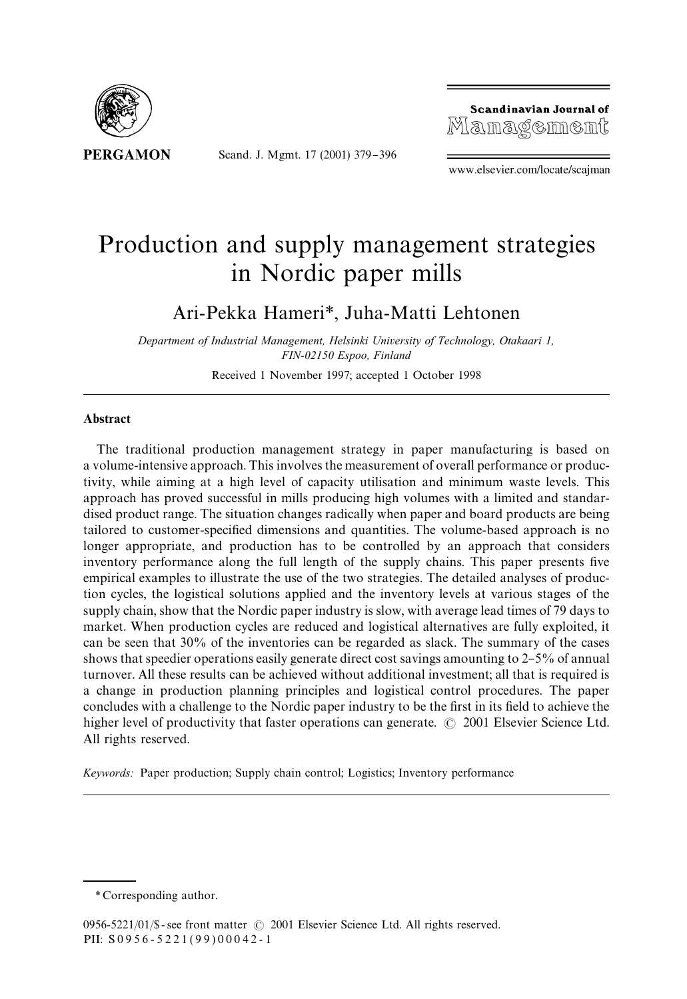

Scand. J. Mgmt. 17 (2001) 379-396



www.elsevier.com/locate/scajman

## Production and supply management strategies in Nordic paper mills

Ari-Pekka Hameri*\**, Juha-Matti Lehtonen

*Department of Industrial Management, Helsinki University of Technology, Otakaari 1, FIN-02150 Espoo, Finland*

Received 1 November 1997; accepted 1 October 1998

## Abstract

The traditional production management strategy in paper manufacturing is based on a volume-intensive approach. This involves the measurement of overall performance or productivity, while aiming at a high level of capacity utilisation and minimum waste levels. This approach has proved successful in mills producing high volumes with a limited and standardised product range. The situation changes radicallywhen paper and board products are being tailored to customer-specified dimensions and quantities. The volume-based approach is no longer appropriate, and production has to be controlled by an approach that considers inventory performance along the full length of the supply chains. This paper presents five empirical examples to illustrate the use of the two strategies. The detailed analyses of production cycles, the logistical solutions applied and the inventory levels at various stages of the supply chain, show that the Nordic paper industry is slow, with average lead times of 79 days to market. When production cycles are reduced and logistical alternatives are fully exploited, it can be seen that 30% of the inventories can be regarded as slack. The summaryof the cases shows that speedier operations easily generate direct cost savings amounting to  $2-5%$  of annual turnover. All these results can be achieved without additional investment; all that is required is a change in production planning principles and logistical control procedures. The paper concludes with a challenge to the Nordic paper industry to be the first in its field to achieve the higher level of productivity that faster operations can generate.  $\odot$  2001 Elsevier Science Ltd. All rights reserved.

*Keywords:* Paper production; Supply chain control; Logistics; Inventory performance

*<sup>\*</sup>* Corresponding author.

<sup>0956-5221/01/\$ -</sup> see front matter  $\odot$  2001 Elsevier Science Ltd. All rights reserved. PII: S 0 9 5 6 - 5 2 2 1 ( 9 9 ) 0 0 0 4 2 - 1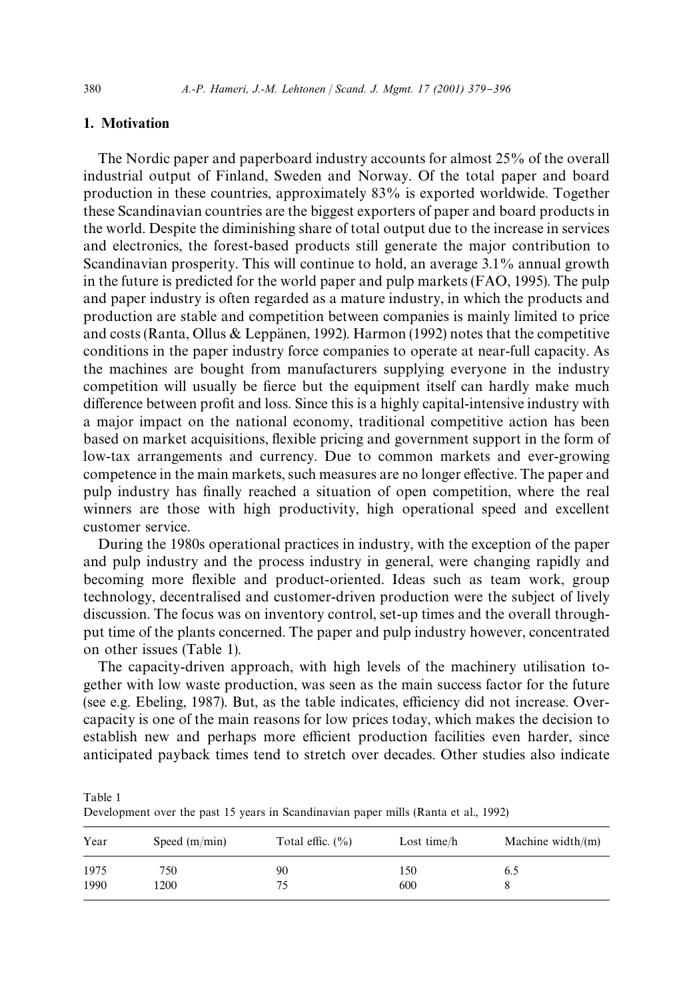## 1. Motivation

The Nordic paper and paperboard industryaccounts for almost 25% of the overall industrial output of Finland, Sweden and Norway. Of the total paper and board production in these countries, approximately83% is exported worldwide. Together these Scandinavian countries are the biggest exporters of paper and board products in the world. Despite the diminishing share of total output due to the increase in services and electronics, the forest-based products still generate the major contribution to Scandinavian prosperity. This will continue to hold, an average 3.1% annual growth in the future is predicted for the world paper and pulp markets (FAO, 1995). The pulp and paper industryis often regarded as a mature industry, in which the products and production are stable and competition between companies is mainlylimited to price and costs (Ranta, Ollus & Leppanen, 1992). Harmon (1992) notes that the competitive conditions in the paper industryforce companies to operate at near-full capacity. As the machines are bought from manufacturers supplying everyone in the industry competition will usually be fierce but the equipment itself can hardly make much difference between profit and loss. Since this is a highly capital-intensive industry with a major impact on the national economy, traditional competitive action has been based on market acquisitions, flexible pricing and government support in the form of low-tax arrangements and currency. Due to common markets and ever-growing competence in the main markets, such measures are no longer effective. The paper and pulp industryhas "nallyreached a situation of open competition, where the real winners are those with high productivity, high operational speed and excellent customer service.

During the 1980s operational practices in industry, with the exception of the paper and pulp industry and the process industry in general, were changing rapidly and becoming more #exible and product-oriented. Ideas such as team work, group technology, decentralised and customer-driven production were the subject of lively discussion. The focus was on inventorycontrol, set-up times and the overall throughput time of the plants concerned. The paper and pulp industryhowever, concentrated on other issues (Table 1).

The capacity-driven approach, with high levels of the machinery utilisation together with low waste production, was seen as the main success factor for the future (see e.g. Ebeling, 1987). But, as the table indicates, efficiency did not increase. Overcapacity is one of the main reasons for low prices today, which makes the decision to establish new and perhaps more efficient production facilities even harder, since anticipated payback times tend to stretch over decades. Other studies also indicate

| Development over the past 15 years in Scandinavian paper mills (Ranta et al., 1992) |  |
|-------------------------------------------------------------------------------------|--|
|                                                                                     |  |

| Year | Speed $(m/min)$ | Total effic. $(\% )$ | Lost time/h | Machine width/ $(m)$ |
|------|-----------------|----------------------|-------------|----------------------|
| 1975 | 750             | 90                   | 150         | 6.5                  |
| 1990 | 1200            | 75                   | 600         |                      |